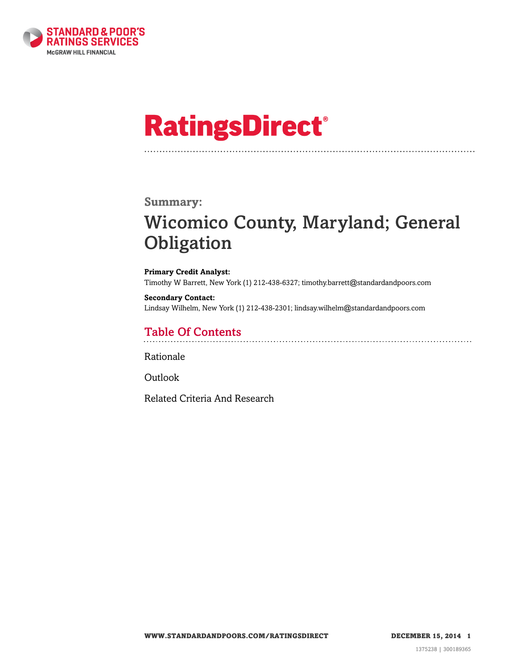

# **RatingsDirect®**

### **Summary:**

# Wicomico County, Maryland; General **Obligation**

**Primary Credit Analyst:** Timothy W Barrett, New York (1) 212-438-6327; timothy.barrett@standardandpoors.com

**Secondary Contact:** Lindsay Wilhelm, New York (1) 212-438-2301; lindsay.wilhelm@standardandpoors.com

# Table Of Contents

[Rationale](#page-1-0)

[Outlook](#page-4-0)

[Related Criteria And Research](#page-4-1)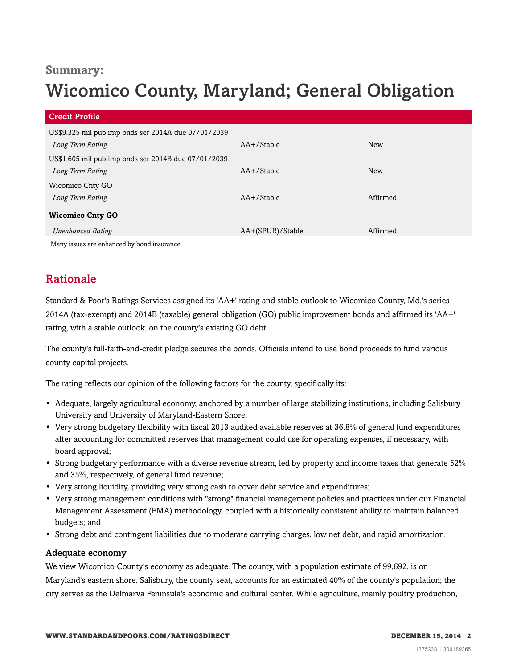# **Summary:**

# Wicomico County, Maryland; General Obligation

| <b>Credit Profile</b>                               |                  |            |
|-----------------------------------------------------|------------------|------------|
| US\$9.325 mil pub imp bnds ser 2014A due 07/01/2039 |                  |            |
| Long Term Rating                                    | AA+/Stable       | New        |
| US\$1.605 mil pub imp bnds ser 2014B due 07/01/2039 |                  |            |
| Long Term Rating                                    | AA+/Stable       | <b>New</b> |
| Wicomico Cnty GO                                    |                  |            |
| Long Term Rating                                    | $AA+$ /Stable    | Affirmed   |
| <b>Wicomico Cnty GO</b>                             |                  |            |
| <b>Unenhanced Rating</b>                            | AA+(SPUR)/Stable | Affirmed   |
| Many issues are enhanced by bond insurance.         |                  |            |

# <span id="page-1-0"></span>Rationale

Standard & Poor's Ratings Services assigned its 'AA+' rating and stable outlook to Wicomico County, Md.'s series 2014A (tax-exempt) and 2014B (taxable) general obligation (GO) public improvement bonds and affirmed its 'AA+' rating, with a stable outlook, on the county's existing GO debt.

The county's full-faith-and-credit pledge secures the bonds. Officials intend to use bond proceeds to fund various county capital projects.

The rating reflects our opinion of the following factors for the county, specifically its:

- Adequate, largely agricultural economy, anchored by a number of large stabilizing institutions, including Salisbury University and University of Maryland-Eastern Shore;
- Very strong budgetary flexibility with fiscal 2013 audited available reserves at 36.8% of general fund expenditures after accounting for committed reserves that management could use for operating expenses, if necessary, with board approval;
- Strong budgetary performance with a diverse revenue stream, led by property and income taxes that generate 52% and 35%, respectively, of general fund revenue;
- Very strong liquidity, providing very strong cash to cover debt service and expenditures;
- Very strong management conditions with "strong" financial management policies and practices under our Financial Management Assessment (FMA) methodology, coupled with a historically consistent ability to maintain balanced budgets; and
- Strong debt and contingent liabilities due to moderate carrying charges, low net debt, and rapid amortization.

#### Adequate economy

We view Wicomico County's economy as adequate. The county, with a population estimate of 99,692, is on Maryland's eastern shore. Salisbury, the county seat, accounts for an estimated 40% of the county's population; the city serves as the Delmarva Peninsula's economic and cultural center. While agriculture, mainly poultry production,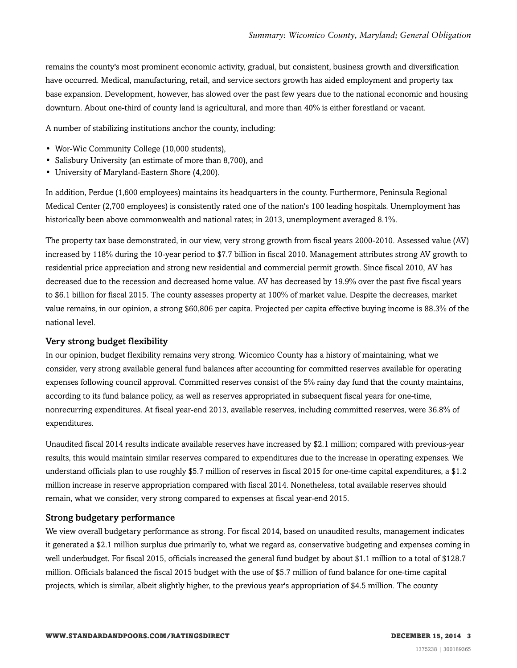remains the county's most prominent economic activity, gradual, but consistent, business growth and diversification have occurred. Medical, manufacturing, retail, and service sectors growth has aided employment and property tax base expansion. Development, however, has slowed over the past few years due to the national economic and housing downturn. About one-third of county land is agricultural, and more than 40% is either forestland or vacant.

A number of stabilizing institutions anchor the county, including:

- Wor-Wic Community College (10,000 students),
- Salisbury University (an estimate of more than 8,700), and
- University of Maryland-Eastern Shore (4,200).

In addition, Perdue (1,600 employees) maintains its headquarters in the county. Furthermore, Peninsula Regional Medical Center (2,700 employees) is consistently rated one of the nation's 100 leading hospitals. Unemployment has historically been above commonwealth and national rates; in 2013, unemployment averaged 8.1%.

The property tax base demonstrated, in our view, very strong growth from fiscal years 2000-2010. Assessed value (AV) increased by 118% during the 10-year period to \$7.7 billion in fiscal 2010. Management attributes strong AV growth to residential price appreciation and strong new residential and commercial permit growth. Since fiscal 2010, AV has decreased due to the recession and decreased home value. AV has decreased by 19.9% over the past five fiscal years to \$6.1 billion for fiscal 2015. The county assesses property at 100% of market value. Despite the decreases, market value remains, in our opinion, a strong \$60,806 per capita. Projected per capita effective buying income is 88.3% of the national level.

#### Very strong budget flexibility

In our opinion, budget flexibility remains very strong. Wicomico County has a history of maintaining, what we consider, very strong available general fund balances after accounting for committed reserves available for operating expenses following council approval. Committed reserves consist of the 5% rainy day fund that the county maintains, according to its fund balance policy, as well as reserves appropriated in subsequent fiscal years for one-time, nonrecurring expenditures. At fiscal year-end 2013, available reserves, including committed reserves, were 36.8% of expenditures.

Unaudited fiscal 2014 results indicate available reserves have increased by \$2.1 million; compared with previous-year results, this would maintain similar reserves compared to expenditures due to the increase in operating expenses. We understand officials plan to use roughly \$5.7 million of reserves in fiscal 2015 for one-time capital expenditures, a \$1.2 million increase in reserve appropriation compared with fiscal 2014. Nonetheless, total available reserves should remain, what we consider, very strong compared to expenses at fiscal year-end 2015.

#### Strong budgetary performance

We view overall budgetary performance as strong. For fiscal 2014, based on unaudited results, management indicates it generated a \$2.1 million surplus due primarily to, what we regard as, conservative budgeting and expenses coming in well underbudget. For fiscal 2015, officials increased the general fund budget by about \$1.1 million to a total of \$128.7 million. Officials balanced the fiscal 2015 budget with the use of \$5.7 million of fund balance for one-time capital projects, which is similar, albeit slightly higher, to the previous year's appropriation of \$4.5 million. The county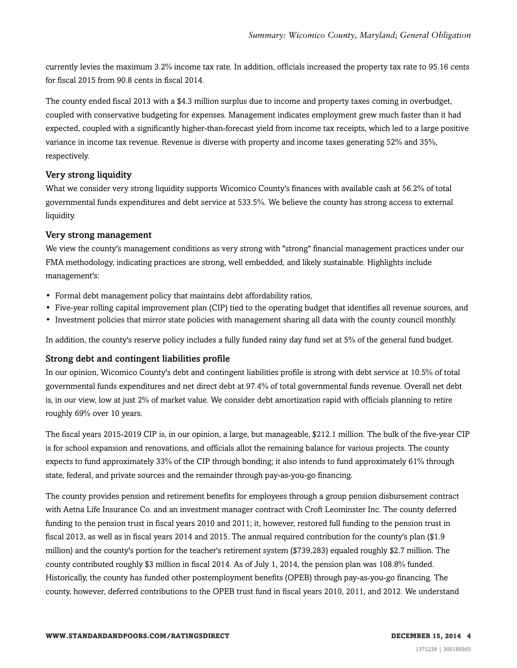currently levies the maximum 3.2% income tax rate. In addition, officials increased the property tax rate to 95.16 cents for fiscal 2015 from 90.8 cents in fiscal 2014.

The county ended fiscal 2013 with a \$4.3 million surplus due to income and property taxes coming in overbudget, coupled with conservative budgeting for expenses. Management indicates employment grew much faster than it had expected, coupled with a significantly higher-than-forecast yield from income tax receipts, which led to a large positive variance in income tax revenue. Revenue is diverse with property and income taxes generating 52% and 35%, respectively.

#### Very strong liquidity

What we consider very strong liquidity supports Wicomico County's finances with available cash at 56.2% of total governmental funds expenditures and debt service at 533.5%. We believe the county has strong access to external liquidity.

#### Very strong management

We view the county's management conditions as very strong with "strong" financial management practices under our FMA methodology, indicating practices are strong, well embedded, and likely sustainable. Highlights include management's:

- Formal debt management policy that maintains debt affordability ratios,
- Five-year rolling capital improvement plan (CIP) tied to the operating budget that identifies all revenue sources, and
- Investment policies that mirror state policies with management sharing all data with the county council monthly.

In addition, the county's reserve policy includes a fully funded rainy day fund set at 5% of the general fund budget.

#### Strong debt and contingent liabilities profile

In our opinion, Wicomico County's debt and contingent liabilities profile is strong with debt service at 10.5% of total governmental funds expenditures and net direct debt at 97.4% of total governmental funds revenue. Overall net debt is, in our view, low at just 2% of market value. We consider debt amortization rapid with officials planning to retire roughly 69% over 10 years.

The fiscal years 2015-2019 CIP is, in our opinion, a large, but manageable, \$212.1 million. The bulk of the five-year CIP is for school expansion and renovations, and officials allot the remaining balance for various projects. The county expects to fund approximately 33% of the CIP through bonding; it also intends to fund approximately 61% through state, federal, and private sources and the remainder through pay-as-you-go financing.

The county provides pension and retirement benefits for employees through a group pension disbursement contract with Aetna Life Insurance Co. and an investment manager contract with Croft Leominster Inc. The county deferred funding to the pension trust in fiscal years 2010 and 2011; it, however, restored full funding to the pension trust in fiscal 2013, as well as in fiscal years 2014 and 2015. The annual required contribution for the county's plan (\$1.9 million) and the county's portion for the teacher's retirement system (\$739,283) equaled roughly \$2.7 million. The county contributed roughly \$3 million in fiscal 2014. As of July 1, 2014, the pension plan was 108.8% funded. Historically, the county has funded other postemployment benefits (OPEB) through pay-as-you-go financing. The county, however, deferred contributions to the OPEB trust fund in fiscal years 2010, 2011, and 2012. We understand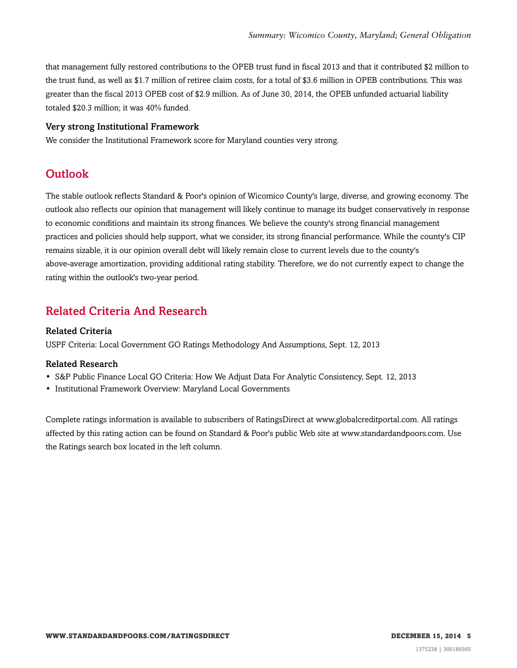that management fully restored contributions to the OPEB trust fund in fiscal 2013 and that it contributed \$2 million to the trust fund, as well as \$1.7 million of retiree claim costs, for a total of \$3.6 million in OPEB contributions. This was greater than the fiscal 2013 OPEB cost of \$2.9 million. As of June 30, 2014, the OPEB unfunded actuarial liability totaled \$20.3 million; it was 40% funded.

#### Very strong Institutional Framework

<span id="page-4-0"></span>We consider the Institutional Framework score for Maryland counties very strong.

# Outlook

The stable outlook reflects Standard & Poor's opinion of Wicomico County's large, diverse, and growing economy. The outlook also reflects our opinion that management will likely continue to manage its budget conservatively in response to economic conditions and maintain its strong finances. We believe the county's strong financial management practices and policies should help support, what we consider, its strong financial performance. While the county's CIP remains sizable, it is our opinion overall debt will likely remain close to current levels due to the county's above-average amortization, providing additional rating stability. Therefore, we do not currently expect to change the rating within the outlook's two-year period.

### <span id="page-4-1"></span>Related Criteria And Research

#### Related Criteria

USPF Criteria: Local Government GO Ratings Methodology And Assumptions, Sept. 12, 2013

#### Related Research

- S&P Public Finance Local GO Criteria: How We Adjust Data For Analytic Consistency, Sept. 12, 2013
- Institutional Framework Overview: Maryland Local Governments

Complete ratings information is available to subscribers of RatingsDirect at www.globalcreditportal.com. All ratings affected by this rating action can be found on Standard & Poor's public Web site at www.standardandpoors.com. Use the Ratings search box located in the left column.